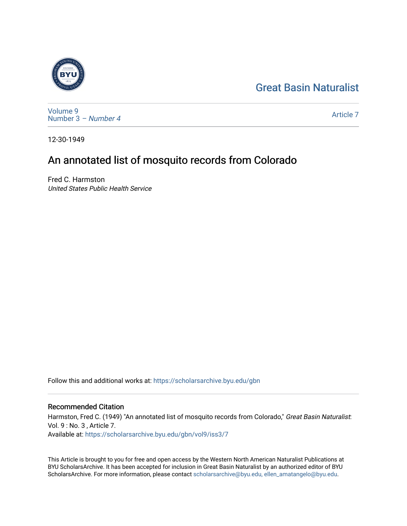# [Great Basin Naturalist](https://scholarsarchive.byu.edu/gbn)



[Volume 9](https://scholarsarchive.byu.edu/gbn/vol9) [Number 3](https://scholarsarchive.byu.edu/gbn/vol9/iss3) – Number 4

[Article 7](https://scholarsarchive.byu.edu/gbn/vol9/iss3/7) 

12-30-1949

# An annotated list of mosquito records from Colorado

Fred C. Harmston United States Public Health Service

Follow this and additional works at: [https://scholarsarchive.byu.edu/gbn](https://scholarsarchive.byu.edu/gbn?utm_source=scholarsarchive.byu.edu%2Fgbn%2Fvol9%2Fiss3%2F7&utm_medium=PDF&utm_campaign=PDFCoverPages) 

# Recommended Citation

Harmston, Fred C. (1949) "An annotated list of mosquito records from Colorado," Great Basin Naturalist: Vol. 9 : No. 3 , Article 7. Available at: [https://scholarsarchive.byu.edu/gbn/vol9/iss3/7](https://scholarsarchive.byu.edu/gbn/vol9/iss3/7?utm_source=scholarsarchive.byu.edu%2Fgbn%2Fvol9%2Fiss3%2F7&utm_medium=PDF&utm_campaign=PDFCoverPages) 

This Article is brought to you for free and open access by the Western North American Naturalist Publications at BYU ScholarsArchive. It has been accepted for inclusion in Great Basin Naturalist by an authorized editor of BYU ScholarsArchive. For more information, please contact [scholarsarchive@byu.edu, ellen\\_amatangelo@byu.edu.](mailto:scholarsarchive@byu.edu,%20ellen_amatangelo@byu.edu)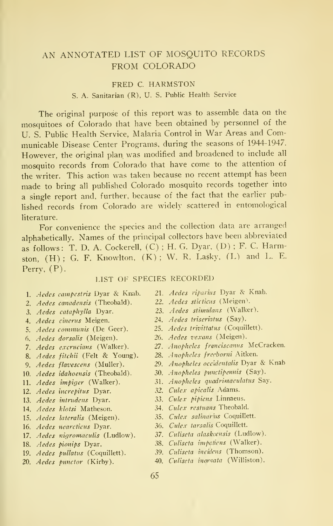# AN ANNOTATED LIST OF MOSQUITO RECORDS FROM COLORADO

#### FRED C. HARMSTON

## S. A. Sanitarian (R), U. S. Public Health Service

The original purpose of this report was to assemble data on the mosquitoes of Colorado that have been obtained by personnel of the U. S. Public Health Service, Malaria Control in War Areas and Communicable Disease Center Programs, during the seasons of 1944-1947. However, the original plan was modified and broadened to include all mosquito records from Colorado that have come to the attention of the writer. This action was taken because no recent attempt has been made to bring all published Colorado mosquito records together into <sup>a</sup> single report and. further, because of the fact that the earlier published records from Colorado are widely scattered in entomological literature.

For convenience the species and the collection data are arranged alphabetically. Names of the principal collectors have been abbreviated as follows: T. D. A. Cockerell, (C) ; H. G. Dyar, (D) ; F. C. Harmston,  $(H)$ ; G. F. Knowlton,  $(K)$ ; W. R. Lasky,  $(L)$  and L. E. Perry, (P).

#### LIST OF SPECIES RECORDED

- 1. Aedes campcstris Dyar & Knab.
- 2. Aedes canadensis (Theobald).
- 3. Aedes cataphylla Dyar.
- 4. Aedes cinerus Meigen.
- 5. Aedes communis (De Geer).
- 6. Aedes dorsalis (Meigen).
- 7. Aedes excrucians (Walker).
- 8. Aedes fitchii (Felt & Young).
- 9. Aedes flavescens (Muller).
- 10. Aedes idahoensis (Theobald).
- 11. *Aedes impiger* (Walker).
- 12. Aedes increpitus Dyar.
- 13. *Aedes intrudens* Dyar.
- 14. *Aedes klotsi* Matheson.
- 15. *Aedes lateralis* (Meigen).
- 16. *Aedes nearcticus* Dyar.
- 17. Aedes nigromaculis (Ludlow).
- 18. *Aedes pionips* Dyar.
- 19. *Aedes pullatus* (Coquillett).
- 20. *Aedes punctor* (Kirby).
- 21. Aedes riparius Dyar & Knab.
- 22. Aedes sticticus (Meigen).
- 23. Aedes stimulans (Walker).
- 24. Aedes triseriatus (Say).
- 25. Aedes trivittatus (Coquillett).
- 26. Aedes vexans (Meigen).
- 27. Anopheles franciscanus McCracken.
- 28. Anopheles frecborni Aitken.
- 29. Anopheles occ'identalis Dyar & Knab
- 30. Anopheles punctipennis (Say).
- 31. Anopheles quadrimaculatus Say.
- 32. Culex apicalis Adams.
- 33. Culex pipiens Linnaeus.
- 34. Culex rcstuans Theobald.
- 35. Culex salinarius Coquillett.
- 36. Culex tarsalis Coquillett.
- 37. Culiseta alaskaensis (Ludlow).
- 38. Culiscta impatiens (Walker).
- 39. Culiseta incidens (Thomson).
- 40. Culiseta inornata (Williston).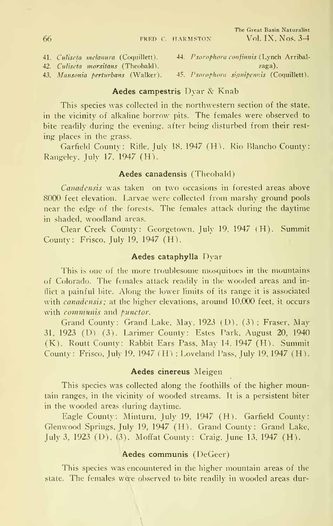42. Culiseta morsitans (Theobald). zaga).

- 41. Culiseta melanura (Coquillett). 44. Psorophora confinnis (Lynch Arribal-
- 43. Mansonia perturbans (Walker). 45. Psorophora signipennis (Coquillett).

#### Aedes campestris Dyar & Knab

This species was collected in the northwestern section of the state, in the vicinity of alkaline borrow pits. The females were observed to bite readily during the evening, after being disturbed from their rest ing places in the grass.

Garfield County: Rifle. July 18. 1947 (H). Rio Blancho County: Rangeley. July 17. 1947 (H).

#### Aedes canadensis (Theobald)

Canadensis was taken on two occasions in forested areas above 8000 feet elevation. Larvae were collected from marshy ground pools near the edge of the forests. The females attack during the daytime in shaded, woodland areas.

Clear Creek County: Georgetown. July 19. 1947 (H). Summit County: Frisco, July 19, 1947 (H).

#### Aedes cataphylla Dyar

This is one of the more troublesome mosquitoes in the mountains of Colorado. The females attack readily in the wooded areas and inflict a painful bite. Along the lower limits of its range it is associated with *canadensis*; at the higher elevations, around 10,000 feet, it occurs with communis and punctor.

Grand County: Grand Lake, May, 1923 (D). (3) ; Fraser, May 31, 1923 (D) (3). Larimer County: Estes Park. August 20, 1940 (K). Routt County: Rabbit Ears Pass, May 14. 1947 (H). Summit County: Frisco, July 19, 1947 (H) ; Loveland Pass. July 19, 1947 (H).

#### Aedes cinereus Meigen

This species was collected along the foothills of the higher mountain ranges, in the vicinity of wooded streams. It is a persistent biter in the wooded areas during daytime.

Eagle County: Minturn, July 19, 1947 (H). Garfield County: Glenwood Springs, July 19, 1947 (H). Grand County: Grand Lake, July 3, 1923 (D), (3). Mofifat County: Craig, June 13, 1947 (H).

#### Aedes communis (DeGeer)

This species was encountered in the higher mountain areas of the state. The females were observed to bite readily in wooded areas dur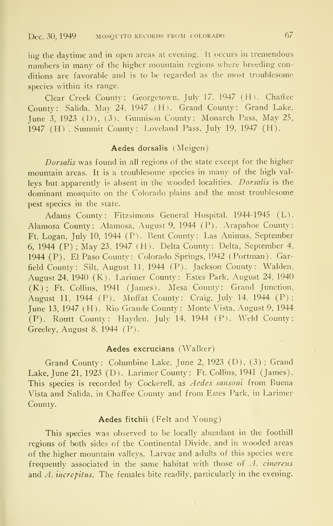ing the daytime and in open areas at evening. It occurs in tremendous numbers in many of the higher mountain regions where breeding conditions are favorable and is to be regarded as the most troublesome species within its range.

Clear Creek County: Georgetown. July 17. 1947 (H). Chaffee County: Salida, May 24. 1947 (H). Grand County: Grand Lake. June 3, <sup>1923</sup> (D). (3). Gunnison County: Monarch Pass, May 25, 1947 (H) . Summit County: Loveland Pass, July 19, 1947 (H).

#### Aedes dorsalis (Meigen)

Dorsalis was found in all regions of the state except for the higher mountain areas. It is <sup>a</sup> troublesome species in many of the high val leys but apparently is absent in the wooded localities. Dorsalis is the dominant mosquito on the Colorado plains and the most troublesome pest species in the state.

Adams County: Fitzsimons General Hospital, 1944-1945 (L). Alamosa County: Alamosa, August 9, 1944 (P). Arapahoe County: Ft. Logan, July 10, 1944 (P). Bent County: Las Animas, September 6^ 1944 (P) ; May 23, 1947 (H). Delta County: Delta, September 4, 1944 (P). El Paso County: Colorado Springs, 1942 (Portman). Garfield County: Silt, August 11, 1944 (P). Jackson County: Walden, August 24, 1940 (K). Larimer County: Estes Park, August 24, 1940 (K) ; Ft. Collins, 1941 (James). Mesa County: Grand Junction, August 11, 1944 (P). Mofifat County: Craig, July 14. 1944 (P) ; June 13, 1947 (H). Rio Grande County: Monte Vista. August 9. 1944 (P). Routt County: Hayden. July 14, 1944 (P). Weld County: Greeley, August 8, 1944 (P).

#### Aedes excrucians (Walker)

Grand County: Columbine Lake, June 2, 1923 (D), (3) ; Grand Lake, June 21, 1923 (D). Larimer County: Ft. Collins, 1941 (James). This species is recorded by Cockerell, as Aedes sansoni from Buena Vista and Salida, in Chafifee County and from Estes Park, in Larimer County.

#### Aedes fitchii (Felt and Young)

This species was observed to be locally abundant in the foothill regions of both sides of the Continental Divide, and in wooded areas of the higher mountain valleys. Larvae and adults of this species were frequently associated in the same habitat with those of A. cinereus and A, increpitus. The females bite readily, particularly in the evening.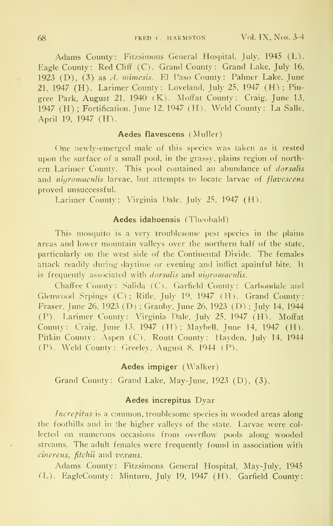Adams County: Fitzsimons General Hospital. July, 1945 (L). Eagle County: Red Cliff (C). Grand County: Grand Lake, July 16, 1923 (D), (3) as A. mimesis. El Paso County: Palmer Lake. June 21, 1947 (H). Larimer County: Loveland, July 25. 1947 (H) ; Pin gree Park, August 21, 1940 (K). Moffat County: Craig, June 13. 1947 (H) ; Fortification. June 12. 1947 (H). Weld County: La Salle. April 19, 1947 (H).

#### Aedes flavescens (Muller)

One newly-emerged male of this species was taken as it rested upon the surface of a small pool, in the grassy, plains region of north ern Larimer County. This pool contained an abundance of dorsalis and *nigromaculis* larvae, but attempts to locate larvae of *flavescens* proved unsuccessful.

Larimer County: Virginia Dale. July 25. 1947 (H).

#### Aedes idahoensis (Theobald)

This mosquito is a very troublesome pest species in the plains areas and lower mountain valleys over the northern half of the state. particularly on the west side of the Continental Divide. The females attack readily during daytime or evening and indict apainful bite, ll is frequently associated with *dorsalis* and *nigromaculis*.

Chaffee County: Salida (C). Garfield County: Carbondalc and Glenwood Srpings (C); Rifle, July 19, 1947 (H). Grand County: Eraser, June 26. 1923 (D) ; Granby. June 26. 1923 (D) ; July 14. 1944 (P). Larimer County: Virginia Dale, July 25. 1947 (H). Moffat County: Craig, June 13. 1947 (H) ; Maybell. June 14, 1947 (H). Pitkin County: Aspen (C). Routt County: Hayden, July 14, 1944 (F). Weld County: Greeley. August 8. 1944 (P).

#### Aedes impiger (Walker)

Grand County: Grand Lake, May-June. 1923 (D), (3).

#### Aedes increpitus Dyar

Increpitus is a common, troublesome species in wooded areas along the foothills and in the higher valleys of the state. Larvae were col lected on numerous occasions from overflow pools along wooded streams. The adult females were frequently found in association with cinereus, fitchii and vexans.

Adams County: Fitzsimons General Hospital, May-July, 1945 (L). EagleCounty: Minturn, July 19, 1947 (H). Garfield County: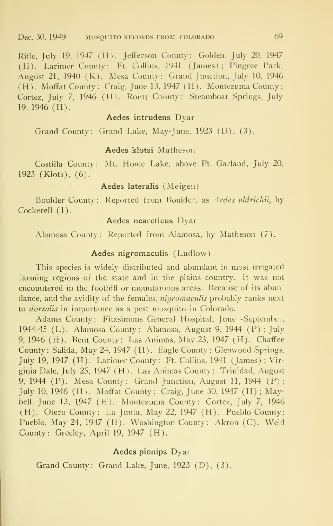Rifle, July 19. 1947 (H). Jefferson County: Golden, July 20, 1947 (H). Larimer County: Ft. Collins, 1941 (James); Pingree Park, August 21, 1940 (K). Mesa County: Grand Junction, July 10, 1946 (H). Moffat County: Craig, June 13, 1947 (H). Montezuma County: Cortez, July 7. 1946 (H). Routt County: Steamboat Springs, July 19. 1946 (H).

#### Aedes intrudens Dyar

Grand County: Grand Lake. May-June. 1923 (D), (3).

#### Aedes klotsi Matheson

Costilla County: Mt. Home Lake, above Ft. Garland, July 20, 1923 (Klots), (6).

# Aedes lateralis (Meigen)

Boulder County: Reported from Boulder, as Aedes aldrichii, by Cockerell (1).

#### Aedes nearcticus Dyar

Alamosa County: Reported from Alamosa, by Matheson (7).

#### Aedes nigromaculis (Ludlow)

This species is widely distributed and abundant in most irrigated farming regions of the state and in the plains country. It was not encountered in the foothill or mountainous areas. Because of its abundance, and the avidity of the females, nigromaculis probably ranks next to dorsalis in importance as a pest mosquito in Colorado.

Adams County: Fitzsimons General Hospital, June -September, 1944-45 (L). Alamosa County: Alamosa, August 9, 1944 (P) ; July 9, 1946 (H). Bent County: Las Animas, May 23, 1947 (H). Chaffee County: Salida, May 24, 1947 (H). Eagle County: Glenwood Springs, July 19, 1947 (H). Larimer County: Ft. Collins, 1941 (James) ; Virginia Dale, July 25. 1947 (H). Las Animas County: Trinidad, August 9, 1944 (P). Mesa County: Grand Junction, August 11, 1944 (P) ; July 10, 1946 (H). Moffat County: Craig, June 30, 1947 (H) ; Maybell, June 13, 1947 (H). Montezuma County: Cortez, July 7, 1946 (H). Otero County: La Junta, May 22, 1947 (H). Pueblo County: Pueblo, May 24, 1947 (H). Washington County: Akron (C). Weld County: Greeley, April 19, 1947 (H).

#### Aedes pionips Dyar

Grand County: Grand Lake, June, 1923 (D), (3).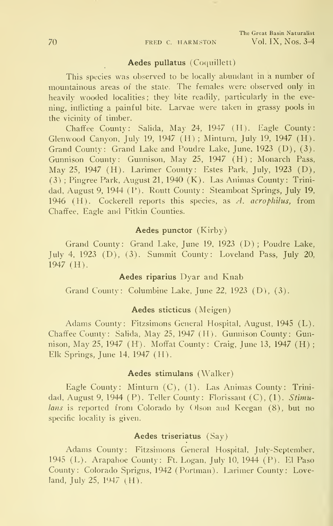#### Aedes pullatus (Coquillett)

This species was observed to be locally abundant in <sup>a</sup> number of mountainous areas of the state. The females were observed only in heavily wooded localities; they bite readily, particularly in the evening, inflicting a painful bite. Larvae were taken in grassy pools in the vicinity of timber.

Chaffee County: Salida, May 24, 1947 (H). Eagle County: Glenwood Canyon, July 19, 1947 (H) ; Minturn, July 19, 1947 (H). Grand County: Grand Lake and Poudre Lake, June, 1923 (D), (3). Gunnison County: Gunnison, May 25, 1947 (H) ; Monarch Pass, May 25, 1947 (H). Larimer County: Estes Park, July, 1923 (D), (3) ; Pingree Park, August 21, 1940 (K). Las Animas County: Trinidad, August 9, 1944 (P). Routt County: Steamboat Springs, July 19, 1946 (H). Cockerell reports this species, as  $A$ , acrophilus, from Chaffee, Eagle and Pitkin Counties.

#### Aedes punctor (Kirby)

Grand County: Grand Lake, June 19, 1923 (D) ; Poudre Lake, July 4, 1923 (D), (3). Summit County: Loveland Pass, July 20, 1947 (H).

#### Aedes riparius Dyar and Knab

Grand County: Columbine Lake, June 22, 1923 (D), (3).

#### Aedes sticticus (Meigen)

Adams County: Fitzsimons General Hospital, August, 1945 (L). Chaffee County: Salida, May 25, 1947 (H). Gunnison County: Gunnison, May 25, 1947 (H). Moffat County: Craig, June 13, 1947 (H) ; Elk Springs, June 14, 1947 (H).

#### Aedes stimulans (Walker)

Eagle County: Minturn (C), (1). Las Animas County: Trinidad, August 9, 1944 (P). Teller County: Florissant (C), (1). Stimulans is reported from Colorado by Olson and Keegan (8), but no specific locality is given.

### Aedes triseriatus (Say)

Adams County: Fitzsimons General Hospital, July-September, 1945 (L). Arapahoe County: Ft. Logan, July 10, 1944 (P). El Paso County: Colorado Sprigns, 1942 (Portman). Larimer County: Loveland, July 25, 1947 (H).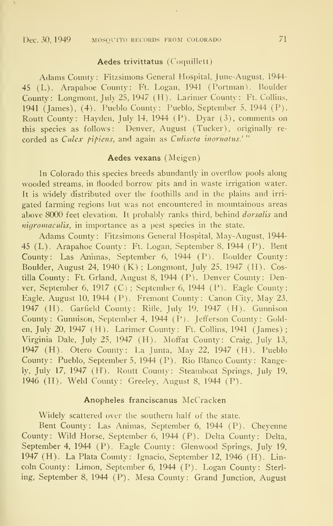#### Aedes trivittatus (Coquillett)

Adams County: Fitzsimons General Hospital, June-August, 1944- 45 (L). Arapahoe County: Ft. Logan, 1941 (Portman). Boulder County: Longmont, July 25, 1947 (H). Larimer County: Ft. Collins, 1941 (James), (4). Pueblo County: Pueblo, September 5. 1944 (P). Routt County: Hayden, July 14, 1944 (P). Dyar (3), comments on this species as follows: Denver, August (Tucker), originally re corded as Culex pipiens, and again as Culiseta inornatus.'"

#### Aedes vexans (Meigen)

In Colorado this species breeds abundantly in overflow pools along wooded streams, in flooded borrow pits and in waste irrigation water. It is widely distributed over the foothills and in the plains and irri gated farming regions but was not encountered in mountainous areas above 8000 feet elevation. It probably ranks third, behind dorsalis and nigromaculis, in importance as a pest species in the state.

Adams County : Fitzsimons General Hospital, May-August, 1944- 45 (L). Arapahoe County: Ft. Logan, September 8, 1944 (P). Bent County: Las Animas, September 6, 1944 (P). Boulder County: Boulder, August 24, 1940 (K) ; Longmont, July 25, 1947 (H). Costilla County: Ft. Grland, August 8, 1944 (P). Denver County: Denver, September 6, 1917 (C) ; September 6, 1944 (P). Eagle County: Eagle, August 10, 1944 (P). Fremont County: Canon City, May 23, 1947 (H). Garfield County: Rifle. July 19. 1947 (H). Gunnison County: Gunnison, September 4, 1944 (P). Jefferson County: Golden, July 20, 1947 (H). Larimer County: Ft. Collins, 1941 (James) ; Virginia Dale, July 25, 1947 (H). Moffat County: Craig, July 13, 1947 (H). Otero County: La Junta, May 22, 1947 (H). Pueblo County: Pueblo, September 5, 1944 (P). Rio Blanco County : Rangely, July 17, 1947 (H). Routt County: Steamboat Springs, July 19, 1946 (H). Weld County: Greeley, August 8, 1944 (P).

#### Anopheles franciscanus McCracken

Widely scattered over the southern half of the state.

Bent County: Las Animas, September 6, 1944 (P). Cheyenne County: Wild Horse, September 6, 1944 (P). Delta County: Delta, September 4, 1944 (P). Eagle County: Glenwood Springs, July 19, 1947 (H). La Plata County: Ignacio, September 12, 1946 (H). Lincoln County: Limon, September 6, 1944 (P). Logan County: Sterling, September 8, 1944 (P). Mesa County: Grand Junction, August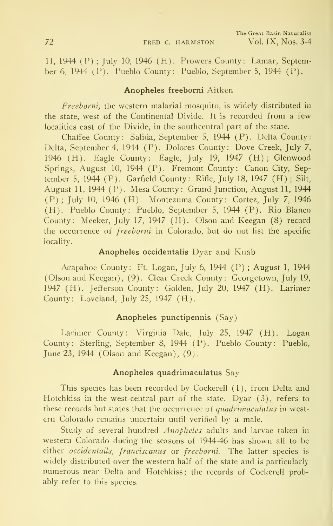11, 1944 (P) ; July 10, 1946 (H). Prowers County: Lamar, September 6, 1944 (P). Pueblo County: Pueblo, September 5, 1944 (P).

#### Anopheles freeborni Aitken

Freeborni, the western malarial mosquito, is widely distributed in the state, west of the Continental Divide. It is recorded from a few localities east of the Divide, in the southcentral part of the state.

Chaffee County: Salida, September 5, 1944 (F). Delta County: Delta, September 4, 1944 (P). Dolores County: Dove Creek, July 7, 1946 (H). Eagle County: Eagle, July 19, 1947 (H) ; Glenwood Springs, August 10, 1944 (P). Fremont County: Canon City, September 5, 1944 (P). Garfield County: Rifle, July 18, 1947 (H) ; Silt, August 11, 1944 (P). Mesa County: Grand Junction, August 11, 1944 (P) ; July 10, 1946 (H). Montezuma County: Cortez, July 7, 1946 (H). Pueblo County: Pueblo, September 5, 1944 (P). Rio Blanco County: Meeker, July 17, 1947 (H). Olson and Keegan (8) record the occurrence of freeborni in Colorado, but do not list the specific locality.

#### Anopheles occidentalis Dyar and Knab

Arapahoe County: Ft. Logan, July 6, 1944 (P) ; August 1, 1944 (Olson and Keegan), (9). Clear Creek County: Georgetown, July 19, 1947 (H). Jefferson County: Golden, July 20, 1947 (H). Larimer County: Loveland, July 25, 1947 (H).

#### Anopheles punctipennis (Say)

Larimer County: Virginia Dale, July 25, 1947 (H). Logan County: Sterling, September 8, 1944 (P). Pueblo County: Pueblo, June 23, 1944 (Olson and Keegan), (9).

#### Anopheles quadrimaculatus Say

This species has been recorded by Cockerell (<sup>1</sup> ) , from Delta and Hotchkiss in the west-central part of the state. Dyar (3), refers to these records but states that the occurrence of quadrimaculatus in west ern Colorado remains uncertain until verified by a male.

Study of several hundred Anopheles adults and larvae taken in western Colorado during the seasons of 1944-46 has shown all to be either occidentails, franciscanus or freeborni. The latter species is widely distributed over the western half of the state and is particularly numerous near Delta and Hotchkiss; the records of Cockerell probably refer to this species.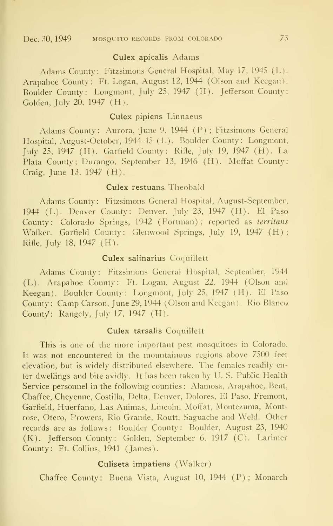#### Culex apicalis Adams

Adams County: Fitzsimons General Hospital, May 17, <sup>1945</sup> (L). Arapahoe County: Ft. Logan, August 12, 1944 (Olson and Keegan). Boulder County: Longmont, July 25, 1947 (H). Jefferson County: Golden, July 20, 1947 (H).

#### Culex pipiens Linnaeus

Adams County: Aurora, June 9, 1944 (P) ; Fitzsimons General Hospital, August-October, 1944-45 (L). Boulder County : Longmont, July 25, 1947 (H). Garfield County: Rifle, July 19, 1947 (H). La Plata County; Durango, September 13, 1946 (H). Moffat County: Craig, June 13, 1947 (H).

#### Culex restuans Theobald

Adams County : Fitzsimons General Hospital, August-September, 1944 (L). Denver County: Denver, July 23, 1947 (H). El Paso County: Colorado Springs, 1942 (Portman) ; reported as territans Walker. Garfield County: Glenwood Springs, July 19, 1947 (H); Rifle. July 18, 1947 (H).

#### Culex salinarius Coquillett

Adams County: Fitzsimons General Hospital. September, 1944 (L). Arapahoe County: Ft. Logan, August 22, 1944 (Olson and Keegan). Boulder County: Longmont, July 25. 1947 (H). El Paso County : Camp Carson, June 29, 1944 (Olson and Keegan) . Rio Blanco County: Rangely, July 17, 1947 (H).

#### Culex tarsalis Coquillett

This is one of the more important pest mosquitoes in Colorado. It was not encountered in the mountainous regions above 7500 feet elevation, but is widely distributed elsewhere. The females readily enter dwellings and bite avidly. It has been taken by U. S. Public Health Service personnel in the following counties : Alamosa, Arapahoe, Bent, Chaffee, Cheyenne, Costilla, Delta, Denver, Dolores, El Paso, Fremont, Garfield, Huerfano, Las Animas, Lincoln, Moffat, Montezuma, Montrose, Otero, Prowers, Rio Grande, Routt, Saguache and Weld. Other records are as follows: Boulder County: Boulder, August 23, 1940 (K). Jefferson County: Golden, September 6, 1917 (C). Larimer County: Ft. Collins, 1941 (James).

#### Culiseta impatiens (Walker)

Chaffee County: Buena Vista, August 10, 1944 (P) ; Monarch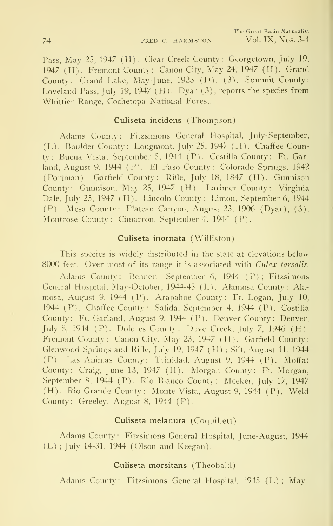Pass, May 25, 1947 (H). Clear Creek County; Georgetown, July 19, 1947 (H). Fremont County: Canon City, May 24, 1947 (H). Grand County: Grand Lake, May-June, 1923 (D), (3). Summit County: Loveland Pass, July 19, 1947 (H). Dyar (3), reports the species from Whittier Range, Cochetopa National Forest.

#### Culiseta incidens (Thompson)

Adams County: Fitzsimons General Hospital, July-September, (L). Boulder County : Longmont, July 25, 1947 (H). Chaffee County: Buena Vista, September 5, 1944 (P). Costilla County: Ft. Garland, August 9, 1944 (P). El Paso County: Colorado Springs, 1942 (Portman). Garfield County: Riile, July 18, 1847 (H). Gunnison County: Gunnison, May 25, 1947 (H). Larimer County: Virginia Dale, July 25, 1947 (H). Lincoln County: Limon, September 6, 1944 (P). Mesa County: Plateau Canyon, August 23, 1906 (Dyar), (3). Montrose County: Cimarron, September 4, 1944 (P).

#### Culiseta inornata (Williston)

This species is widely distributed in the state at elevations below 8000 feet. Over most of its range it is associated with *Culex tarsalis*.

Adams County: Bennett, September 6, 1944 (P); Fitzsimons General Hospital, May-October, 1944-45 (L). Alamosa County: Ala mosa, August 9, 1944 (P). Arapahoe County: Ft. Logan, July 10, 1944 (P). Chaffee County: Salida, September 4, 1944 (P). Costilla County: Ft. Garland, August 9, 1944 (P). Denver County: Denver, July 8, 1944 (P). Dolores County: Dove Creek, July 7, 1946 (H). Fremont County: Canon City, May 23, 1947 (H). Garfield County: Glenwood Springs and Rifle, July 19, 1947 (H) ; Silt, August 11, 1944 (P). Las Animas County: Trinidad, August 9, 1944 (P). Moffat County: Craig, June 13, 1947 (H). Morgan County: Ft. Morgan, September 8, 1944 (P). Rio Blanco County: Meeker, July 17, 1947 (H). Rio Grande County: Monte Vista, August 9, 1944 (P). Weld County: Greeley, August 8, 1944 (P).

#### Culiseta melanura (Coquillett)

Adams County: Fitzsimons General Hospital, June-August, 1944 (L) ; July 14-31, 1944 (Olson and Keegan).

#### Culiseta morsitans (Theobald)

Adams County: Fitzsimons General Hospital, 1945 (L) ; May-